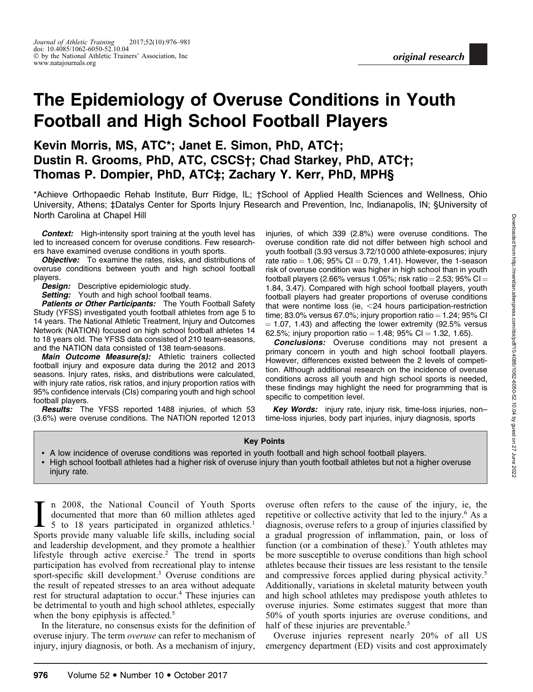# The Epidemiology of Overuse Conditions in Youth Football and High School Football Players

# Kevin Morris, MS, ATC\*; Janet E. Simon, PhD, ATC†; Dustin R. Grooms, PhD, ATC, CSCS†; Chad Starkey, PhD, ATC†; Thomas P. Dompier, PhD, ATC‡; Zachary Y. Kerr, PhD, MPH§

\*Achieve Orthopaedic Rehab Institute, Burr Ridge, IL; †School of Applied Health Sciences and Wellness, Ohio University, Athens; ‡Datalys Center for Sports Injury Research and Prevention, Inc, Indianapolis, IN; §University of North Carolina at Chapel Hill

**Context:** High-intensity sport training at the youth level has led to increased concern for overuse conditions. Few researchers have examined overuse conditions in youth sports.

**Objective:** To examine the rates, risks, and distributions of overuse conditions between youth and high school football players.

**Design:** Descriptive epidemiologic study.

**Setting:** Youth and high school football teams.

**Patients or Other Participants:** The Youth Football Safety Study (YFSS) investigated youth football athletes from age 5 to 14 years. The National Athletic Treatment, Injury and Outcomes Network (NATION) focused on high school football athletes 14 to 18 years old. The YFSS data consisted of 210 team-seasons, and the NATION data consisted of 138 team-seasons.

Main Outcome Measure(s): Athletic trainers collected football injury and exposure data during the 2012 and 2013 seasons. Injury rates, risks, and distributions were calculated, with injury rate ratios, risk ratios, and injury proportion ratios with 95% confidence intervals (CIs) comparing youth and high school football players.

**Results:** The YFSS reported 1488 injuries, of which 53 (3.6%) were overuse conditions. The NATION reported 12 013 injuries, of which 339 (2.8%) were overuse conditions. The overuse condition rate did not differ between high school and youth football (3.93 versus 3.72/10 000 athlete-exposures; injury rate ratio  $= 1.06$ ; 95% CI  $= 0.79$ , 1.41). However, the 1-season risk of overuse condition was higher in high school than in youth football players (2.66% versus 1.05%; risk ratio = 2.53; 95% CI = 1.84, 3.47). Compared with high school football players, youth football players had greater proportions of overuse conditions that were nontime loss (ie,  $<$  24 hours participation-restriction time; 83.0% versus 67.0%; injury proportion ratio  $=$  1.24; 95% CI  $= 1.07, 1.43$ ) and affecting the lower extremity (92.5% versus 62.5%; injury proportion ratio = 1.48; 95% CI = 1.32, 1.65).

**Conclusions:** Overuse conditions may not present a primary concern in youth and high school football players. However, differences existed between the 2 levels of competition. Although additional research on the incidence of overuse conditions across all youth and high school sports is needed, these findings may highlight the need for programming that is specific to competition level.

Key Words: injury rate, injury risk, time-loss injuries, nontime-loss injuries, body part injuries, injury diagnosis, sports

#### Key Points

- A low incidence of overuse conditions was reported in youth football and high school football players.
- High school football athletes had a higher risk of overuse injury than youth football athletes but not a higher overuse injury rate.

In 2008, the National Council of Youth Sports<br>documented that more than 60 million athletes aged<br>5 to 18 years participated in organized athletics.<sup>1</sup><br>Sports provide many valuable life skills, including social n 2008, the National Council of Youth Sports documented that more than 60 million athletes aged 5 to 18 years participated in organized athletics.<sup>1</sup> and leadership development, and they promote a healthier lifestyle through active exercise.<sup>2</sup> The trend in sports participation has evolved from recreational play to intense sport-specific skill development.<sup>3</sup> Overuse conditions are the result of repeated stresses to an area without adequate rest for structural adaptation to occur.<sup>4</sup> These injuries can be detrimental to youth and high school athletes, especially when the bony epiphysis is affected.<sup>5</sup>

In the literature, no consensus exists for the definition of overuse injury. The term *overuse* can refer to mechanism of injury, injury diagnosis, or both. As a mechanism of injury,

overuse often refers to the cause of the injury, ie, the repetitive or collective activity that led to the injury.<sup>6</sup> As a diagnosis, overuse refers to a group of injuries classified by a gradual progression of inflammation, pain, or loss of function (or a combination of these).<sup>7</sup> Youth athletes may be more susceptible to overuse conditions than high school athletes because their tissues are less resistant to the tensile and compressive forces applied during physical activity.<sup>5</sup> Additionally, variations in skeletal maturity between youth and high school athletes may predispose youth athletes to overuse injuries. Some estimates suggest that more than 50% of youth sports injuries are overuse conditions, and half of these injuries are preventable.<sup>5</sup>

Overuse injuries represent nearly 20% of all US emergency department (ED) visits and cost approximately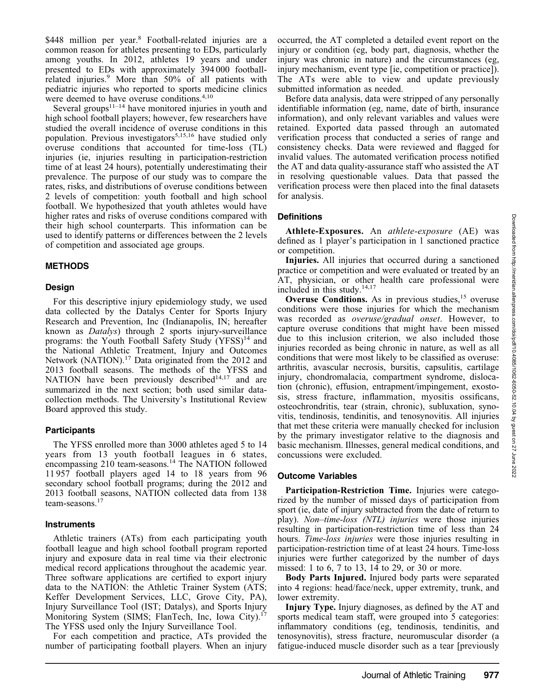\$448 million per year.<sup>8</sup> Football-related injuries are a common reason for athletes presenting to EDs, particularly among youths. In 2012, athletes 19 years and under presented to EDs with approximately 394 000 footballrelated injuries.9 More than 50% of all patients with pediatric injuries who reported to sports medicine clinics were deemed to have overuse conditions.<sup>4,10</sup>

Several groups<sup> $11-14$ </sup> have monitored injuries in youth and high school football players; however, few researchers have studied the overall incidence of overuse conditions in this population. Previous investigators<sup>5,15,16</sup> have studied only overuse conditions that accounted for time-loss (TL) injuries (ie, injuries resulting in participation-restriction time of at least 24 hours), potentially underestimating their prevalence. The purpose of our study was to compare the rates, risks, and distributions of overuse conditions between 2 levels of competition: youth football and high school football. We hypothesized that youth athletes would have higher rates and risks of overuse conditions compared with their high school counterparts. This information can be used to identify patterns or differences between the 2 levels of competition and associated age groups.

# METHODS

#### Design

For this descriptive injury epidemiology study, we used data collected by the Datalys Center for Sports Injury Research and Prevention, Inc (Indianapolis, IN; hereafter known as Datalys) through 2 sports injury-surveillance programs: the Youth Football Safety Study  $(YFSS)^{14}$  and the National Athletic Treatment, Injury and Outcomes Network (NATION).<sup>17</sup> Data originated from the 2012 and 2013 football seasons. The methods of the YFSS and NATION have been previously described<sup>14,17</sup> and are summarized in the next section; both used similar datacollection methods. The University's Institutional Review Board approved this study.

# **Participants**

The YFSS enrolled more than 3000 athletes aged 5 to 14 years from 13 youth football leagues in 6 states, encompassing 210 team-seasons.<sup>14</sup> The NATION followed 11 957 football players aged 14 to 18 years from 96 secondary school football programs; during the 2012 and 2013 football seasons, NATION collected data from 138 team-seasons.<sup>17</sup>

#### Instruments

Athletic trainers (ATs) from each participating youth football league and high school football program reported injury and exposure data in real time via their electronic medical record applications throughout the academic year. Three software applications are certified to export injury data to the NATION: the Athletic Trainer System (ATS; Keffer Development Services, LLC, Grove City, PA), Injury Surveillance Tool (IST; Datalys), and Sports Injury Monitoring System (SIMS; FlanTech, Inc, Iowa City).<sup>17</sup> The YFSS used only the Injury Surveillance Tool.

For each competition and practice, ATs provided the number of participating football players. When an injury occurred, the AT completed a detailed event report on the injury or condition (eg, body part, diagnosis, whether the injury was chronic in nature) and the circumstances (eg, injury mechanism, event type [ie, competition or practice]). The ATs were able to view and update previously submitted information as needed.

Before data analysis, data were stripped of any personally identifiable information (eg, name, date of birth, insurance information), and only relevant variables and values were retained. Exported data passed through an automated verification process that conducted a series of range and consistency checks. Data were reviewed and flagged for invalid values. The automated verification process notified the AT and data quality-assurance staff who assisted the AT in resolving questionable values. Data that passed the verification process were then placed into the final datasets for analysis.

# **Definitions**

Athlete-Exposures. An athlete-exposure (AE) was defined as 1 player's participation in 1 sanctioned practice or competition.

Injuries. All injuries that occurred during a sanctioned practice or competition and were evaluated or treated by an AT, physician, or other health care professional were included in this study.<sup>14,17</sup>

**Overuse Conditions.** As in previous studies,  $15$  overuse conditions were those injuries for which the mechanism was recorded as overuse/gradual onset. However, to capture overuse conditions that might have been missed due to this inclusion criterion, we also included those injuries recorded as being chronic in nature, as well as all conditions that were most likely to be classified as overuse: arthritis, avascular necrosis, bursitis, capsulitis, cartilage injury, chondromalacia, compartment syndrome, dislocation (chronic), effusion, entrapment/impingement, exostosis, stress fracture, inflammation, myositis ossificans, osteochrondritis, tear (strain, chronic), subluxation, synovitis, tendinosis, tendinitis, and tenosynovitis. All injuries that met these criteria were manually checked for inclusion by the primary investigator relative to the diagnosis and basic mechanism. Illnesses, general medical conditions, and concussions were excluded.

# Outcome Variables

Participation-Restriction Time. Injuries were categorized by the number of missed days of participation from sport (ie, date of injury subtracted from the date of return to play). Non–time-loss (NTL) injuries were those injuries resulting in participation-restriction time of less than 24 hours. Time-loss *injuries* were those injuries resulting in participation-restriction time of at least 24 hours. Time-loss injuries were further categorized by the number of days missed: 1 to 6, 7 to 13, 14 to 29, or 30 or more.

Body Parts Injured. Injured body parts were separated into 4 regions: head/face/neck, upper extremity, trunk, and lower extremity.

Injury Type. Injury diagnoses, as defined by the AT and sports medical team staff, were grouped into 5 categories: inflammatory conditions (eg, tendinosis, tendinitis, and tenosynovitis), stress fracture, neuromuscular disorder (a fatigue-induced muscle disorder such as a tear [previously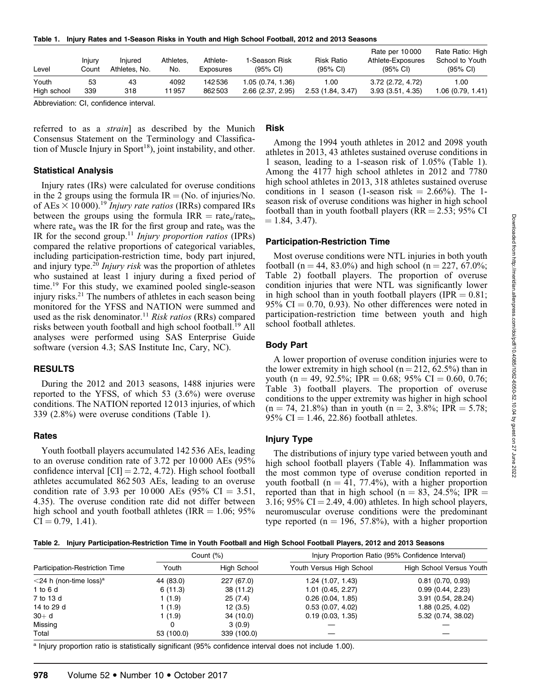| Table 1. Injury Rates and 1-Season Risks in Youth and High School Football, 2012 and 2013 Seasons |
|---------------------------------------------------------------------------------------------------|
|---------------------------------------------------------------------------------------------------|

| Level       | Injury<br>Count | Injured<br>Athletes, No. | Athletes.<br>No. | Athlete-<br>Exposures | 1-Season Risk<br>$(95% \text{ Cl})$ | <b>Risk Ratio</b><br>$(95% \text{ Cl})$ | Rate per 10000<br>Athlete-Exposures<br>$(95\% \text{ Cl})$ | Rate Ratio: High<br>School to Youth<br>$(95% \text{ Cl})$ |
|-------------|-----------------|--------------------------|------------------|-----------------------|-------------------------------------|-----------------------------------------|------------------------------------------------------------|-----------------------------------------------------------|
| Youth       | 53              | 43                       | 4092             | 142536                | 1.05(0.74, 1.36)                    | 1.00                                    | 3.72 (2.72, 4.72)                                          | 1.00                                                      |
| High school | 339             | 318                      | 11 957           | 862503                | 2.66(2.37, 2.95)                    | 2.53 (1.84, 3.47)                       | 3.93(3.51, 4.35)                                           | 1.06(0.79, 1.41)                                          |

Abbreviation: CI, confidence interval.

referred to as a strain] as described by the Munich Consensus Statement on the Terminology and Classification of Muscle Injury in Sport<sup>18</sup>), joint instability, and other.

#### Statistical Analysis

Injury rates (IRs) were calculated for overuse conditions in the 2 groups using the formula  $IR = (No. of injuries/No.$ of AEs  $\times$  10 000).<sup>19</sup> Injury rate ratios (IRRs) compared IRs between the groups using the formula  $IRR = rate_{a}/rate_{b}$ , where rate<sub>a</sub> was the IR for the first group and rate<sub>b</sub> was the IR for the second group.<sup>11</sup> Injury proportion ratios (IPRs) compared the relative proportions of categorical variables, including participation-restriction time, body part injured, and injury type.<sup>20</sup> Injury risk was the proportion of athletes who sustained at least 1 injury during a fixed period of time.<sup>19</sup> For this study, we examined pooled single-season injury risks.<sup>21</sup> The numbers of athletes in each season being monitored for the YFSS and NATION were summed and used as the risk denominator.<sup>11</sup> Risk ratios (RRs) compared risks between youth football and high school football.19 All analyses were performed using SAS Enterprise Guide software (version 4.3; SAS Institute Inc, Cary, NC).

# RESULTS

During the 2012 and 2013 seasons, 1488 injuries were reported to the YFSS, of which 53 (3.6%) were overuse conditions. The NATION reported 12 013 injuries, of which 339 (2.8%) were overuse conditions (Table 1).

#### **Rates**

Youth football players accumulated 142 536 AEs, leading to an overuse condition rate of 3.72 per 10 000 AEs (95% confidence interval  $\text{[CI]} = 2.72, 4.72$ . High school football athletes accumulated 862 503 AEs, leading to an overuse condition rate of 3.93 per 10 000 AEs (95% CI  $=$  3.51, 4.35). The overuse condition rate did not differ between high school and youth football athletes (IRR  $= 1.06$ ; 95%  $CI = 0.79, 1.41$ .

# Risk

Among the 1994 youth athletes in 2012 and 2098 youth athletes in 2013, 43 athletes sustained overuse conditions in 1 season, leading to a 1-season risk of 1.05% (Table 1). Among the 4177 high school athletes in 2012 and 7780 high school athletes in 2013, 318 athletes sustained overuse conditions in 1 season (1-season risk  $= 2.66\%$ ). The 1season risk of overuse conditions was higher in high school football than in youth football players ( $RR = 2.53$ ; 95% CI  $= 1.84, 3.47.$ 

#### Participation-Restriction Time

Most overuse conditions were NTL injuries in both youth football (n = 44, 83.0%) and high school (n = 227, 67.0%; Table 2) football players. The proportion of overuse condition injuries that were NTL was significantly lower in high school than in youth football players (IPR  $= 0.81$ ; 95% CI  $= 0.70, 0.93$ ). No other differences were noted in participation-restriction time between youth and high school football athletes.

# Body Part

A lower proportion of overuse condition injuries were to the lower extremity in high school ( $n = 212$ , 62.5%) than in youth (n = 49, 92.5%; IPR = 0.68; 95% CI = 0.60, 0.76; Table 3) football players. The proportion of overuse conditions to the upper extremity was higher in high school  $(n = 74, 21.8\%)$  than in youth  $(n = 2, 3.8\%; IPR = 5.78;$ 95% CI = 1.46, 22.86) football athletes.

# Injury Type

The distributions of injury type varied between youth and high school football players (Table 4). Inflammation was the most common type of overuse condition reported in youth football ( $n = 41, 77.4\%$ ), with a higher proportion reported than that in high school (n = 83, 24.5%; IPR = 3.16; 95% CI  $=$  2.49, 4.00) athletes. In high school players, neuromuscular overuse conditions were the predominant type reported ( $n = 196, 57.8\%$ ), with a higher proportion

|  |  |  | Table 2. Injury Participation-Restriction Time in Youth Football and High School Football Players, 2012 and 2013 Seasons |
|--|--|--|--------------------------------------------------------------------------------------------------------------------------|
|--|--|--|--------------------------------------------------------------------------------------------------------------------------|

|                                          | Count $(\%)$ |             | Injury Proportion Ratio (95% Confidence Interval) |                                 |
|------------------------------------------|--------------|-------------|---------------------------------------------------|---------------------------------|
| Participation-Restriction Time           | Youth        | High School | Youth Versus High School                          | <b>High School Versus Youth</b> |
| $\leq$ 24 h (non-time loss) <sup>a</sup> | 44 (83.0)    | 227 (67.0)  | 1.24 (1.07, 1.43)                                 | $0.81$ (0.70, 0.93)             |
| 1 to 6 d                                 | 6(11.3)      | 38 (11.2)   | $1.01$ (0.45, 2.27)                               | 0.99(0.44, 2.23)                |
| 7 to 13 d                                | 1 (1.9)      | 25(7.4)     | 0.26(0.04, 1.85)                                  | 3.91 (0.54, 28.24)              |
| 14 to 29 d                               | 1 (1.9)      | 12(3.5)     | 0.53(0.07, 4.02)                                  | 1.88(0.25, 4.02)                |
| $30+ d$                                  | 1 (1.9)      | 34 (10.0)   | 0.19(0.03, 1.35)                                  | 5.32(0.74, 38.02)               |
| Missing                                  | 0            | 3(0.9)      |                                                   |                                 |
| Total                                    | 53 (100.0)   | 339 (100.0) |                                                   |                                 |

<sup>a</sup> Injury proportion ratio is statistically significant (95% confidence interval does not include 1.00).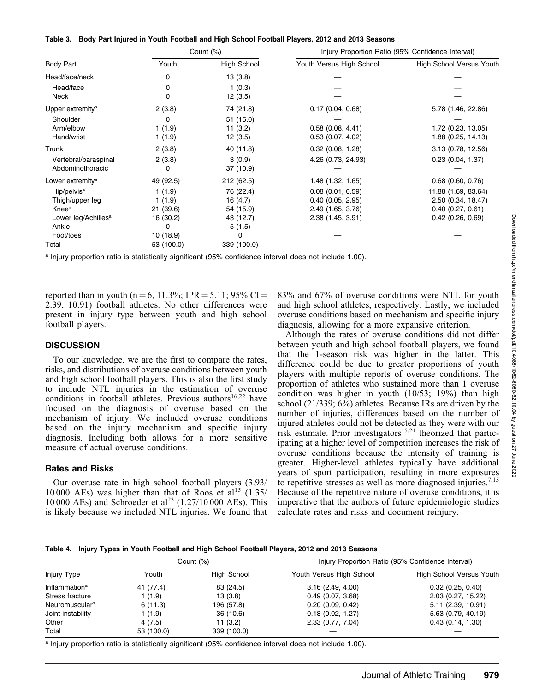| Table 3. Body Part Injured in Youth Football and High School Football Players, 2012 and 2013 Seasons |
|------------------------------------------------------------------------------------------------------|
|------------------------------------------------------------------------------------------------------|

|                                 |            | Count $(\%)$       | Injury Proportion Ratio (95% Confidence Interval) |                          |  |
|---------------------------------|------------|--------------------|---------------------------------------------------|--------------------------|--|
| Body Part                       | Youth      | <b>High School</b> | Youth Versus High School                          | High School Versus Youth |  |
| Head/face/neck                  | 0          | 13(3.8)            |                                                   |                          |  |
| Head/face                       | 0          | 1(0.3)             |                                                   |                          |  |
| <b>Neck</b>                     | O          | 12(3.5)            |                                                   |                          |  |
| Upper extremity <sup>a</sup>    | 2(3.8)     | 74 (21.8)          | 0.17(0.04, 0.68)                                  | 5.78 (1.46, 22.86)       |  |
| Shoulder                        | 0          | 51 (15.0)          |                                                   |                          |  |
| Arm/elbow                       | 1(1.9)     | 11(3.2)            | 0.58(0.08, 4.41)                                  | 1.72 (0.23, 13.05)       |  |
| Hand/wrist                      | 1(1.9)     | 12(3.5)            | $0.53$ (0.07, 4.02)                               | 1.88(0.25, 14.13)        |  |
| Trunk                           | 2(3.8)     | 40 (11.8)          | $0.32$ (0.08, 1.28)                               | 3.13(0.78, 12.56)        |  |
| Vertebral/paraspinal            | 2(3.8)     | 3(0.9)             | 4.26 (0.73, 24.93)                                | 0.23(0.04, 1.37)         |  |
| Abdominothoracic                | 0          | 37 (10.9)          |                                                   |                          |  |
| Lower extremity <sup>a</sup>    | 49 (92.5)  | 212 (62.5)         | 1.48 (1.32, 1.65)                                 | $0.68$ $(0.60, 0.76)$    |  |
| Hip/pelvis <sup>a</sup>         | 1(1.9)     | 76 (22.4)          | $0.08$ $(0.01, 0.59)$                             | 11.88 (1.69, 83.64)      |  |
| Thigh/upper leg                 | 1(1.9)     | 16(4.7)            | 0.40(0.05, 2.95)                                  | 2.50 (0.34, 18.47)       |  |
| Knee <sup>a</sup>               | 21 (39.6)  | 54 (15.9)          | 2.49 (1.65, 3.76)                                 | 0.40(0.27, 0.61)         |  |
| Lower leg/Achilles <sup>a</sup> | 16 (30.2)  | 43 (12.7)          | 2.38 (1.45, 3.91)                                 | $0.42$ (0.26, 0.69)      |  |
| Ankle                           | $\Omega$   | 5(1.5)             |                                                   |                          |  |
| Foot/toes                       | 10 (18.9)  | 0                  |                                                   |                          |  |
| Total                           | 53 (100.0) | 339 (100.0)        |                                                   |                          |  |

a Injury proportion ratio is statistically significant (95% confidence interval does not include 1.00).

reported than in youth (n = 6, 11.3%; IPR = 5.11; 95% CI = 2.39, 10.91) football athletes. No other differences were present in injury type between youth and high school football players.

#### **DISCUSSION**

To our knowledge, we are the first to compare the rates, risks, and distributions of overuse conditions between youth and high school football players. This is also the first study to include NTL injuries in the estimation of overuse conditions in football athletes. Previous authors<sup>16,22</sup> have focused on the diagnosis of overuse based on the mechanism of injury. We included overuse conditions based on the injury mechanism and specific injury diagnosis. Including both allows for a more sensitive measure of actual overuse conditions.

#### Rates and Risks

Our overuse rate in high school football players (3.93/ 10 000 AEs) was higher than that of Roos et al<sup>15</sup>  $(1.35/$ 10 000 AEs) and Schroeder et al<sup>23</sup> (1.27/10 000 AEs). This is likely because we included NTL injuries. We found that 83% and 67% of overuse conditions were NTL for youth and high school athletes, respectively. Lastly, we included overuse conditions based on mechanism and specific injury diagnosis, allowing for a more expansive criterion.

Although the rates of overuse conditions did not differ between youth and high school football players, we found that the 1-season risk was higher in the latter. This difference could be due to greater proportions of youth players with multiple reports of overuse conditions. The proportion of athletes who sustained more than 1 overuse condition was higher in youth (10/53; 19%) than high school (21/339; 6%) athletes. Because IRs are driven by the number of injuries, differences based on the number of injured athletes could not be detected as they were with our risk estimate. Prior investigators $15,24$  theorized that participating at a higher level of competition increases the risk of overuse conditions because the intensity of training is greater. Higher-level athletes typically have additional years of sport participation, resulting in more exposures to repetitive stresses as well as more diagnosed injuries.<sup>7,15</sup> Because of the repetitive nature of overuse conditions, it is imperative that the authors of future epidemiologic studies calculate rates and risks and document reinjury.

Table 4. Injury Types in Youth Football and High School Football Players, 2012 and 2013 Seasons

|                            | Count $(\%)$ |                    | Injury Proportion Ratio (95% Confidence Interval) |                                 |  |
|----------------------------|--------------|--------------------|---------------------------------------------------|---------------------------------|--|
| Injury Type                | Youth        | <b>High School</b> | Youth Versus High School                          | <b>High School Versus Youth</b> |  |
| Inflammation <sup>a</sup>  | 41 (77.4)    | 83 (24.5)          | 3.16(2.49, 4.00)                                  | 0.32(0.25, 0.40)                |  |
| Stress fracture            | 1(1.9)       | 13(3.8)            | 0.49(0.07, 3.68)                                  | 2.03 (0.27, 15.22)              |  |
| Neuromuscular <sup>a</sup> | 6(11.3)      | 196 (57.8)         | 0.20(0.09, 0.42)                                  | $5.11$ (2.39, 10.91)            |  |
| Joint instability          | 1(1.9)       | 36 (10.6)          | 0.18(0.02, 1.27)                                  | 5.63 (0.79, 40.19)              |  |
| Other                      | 4(7.5)       | 11(3.2)            | 2.33 (0.77, 7.04)                                 | 0.43(0.14, 1.30)                |  |
| Total                      | 53 (100.0)   | 339 (100.0)        |                                                   |                                 |  |

a Injury proportion ratio is statistically significant (95% confidence interval does not include 1.00).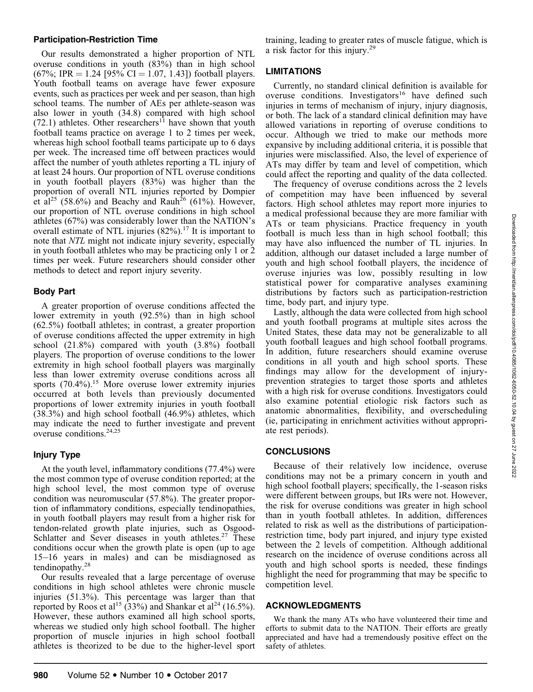# Participation-Restriction Time

Our results demonstrated a higher proportion of NTL overuse conditions in youth (83%) than in high school  $(67\%; IPR = 1.24 \; [95\% \; CI = 1.07, 1.43])$  football players. Youth football teams on average have fewer exposure events, such as practices per week and per season, than high school teams. The number of AEs per athlete-season was also lower in youth (34.8) compared with high school  $(72.1)$  athletes. Other researchers<sup>11</sup> have shown that youth football teams practice on average 1 to 2 times per week, whereas high school football teams participate up to 6 days per week. The increased time off between practices would affect the number of youth athletes reporting a TL injury of at least 24 hours. Our proportion of NTL overuse conditions in youth football players (83%) was higher than the proportion of overall NTL injuries reported by Dompier et al<sup>25</sup> (58.6%) and Beachy and Rauh<sup>26</sup> (61%). However, our proportion of NTL overuse conditions in high school athletes (67%) was considerably lower than the NATION's overall estimate of NTL injuries  $(82\%)$ .<sup>17</sup> It is important to note that NTL might not indicate injury severity, especially in youth football athletes who may be practicing only 1 or 2 times per week. Future researchers should consider other methods to detect and report injury severity.

# Body Part

A greater proportion of overuse conditions affected the lower extremity in youth (92.5%) than in high school (62.5%) football athletes; in contrast, a greater proportion of overuse conditions affected the upper extremity in high school (21.8%) compared with youth (3.8%) football players. The proportion of overuse conditions to the lower extremity in high school football players was marginally less than lower extremity overuse conditions across all sports  $(70.4\%)$ .<sup>15</sup> More overuse lower extremity injuries occurred at both levels than previously documented proportions of lower extremity injuries in youth football (38.3%) and high school football (46.9%) athletes, which may indicate the need to further investigate and prevent overuse conditions.<sup>24,25</sup>

# Injury Type

At the youth level, inflammatory conditions (77.4%) were the most common type of overuse condition reported; at the high school level, the most common type of overuse condition was neuromuscular (57.8%). The greater proportion of inflammatory conditions, especially tendinopathies, in youth football players may result from a higher risk for tendon-related growth plate injuries, such as Osgood-Schlatter and Sever diseases in youth athletes.<sup>27</sup> These conditions occur when the growth plate is open (up to age 15–16 years in males) and can be misdiagnosed as tendinopathy.<sup>28</sup>

Our results revealed that a large percentage of overuse conditions in high school athletes were chronic muscle injuries (51.3%). This percentage was larger than that reported by Roos et al<sup>15</sup> (33%) and Shankar et al<sup>24</sup> (16.5%). However, these authors examined all high school sports, whereas we studied only high school football. The higher proportion of muscle injuries in high school football athletes is theorized to be due to the higher-level sport

training, leading to greater rates of muscle fatigue, which is a risk factor for this injury.29

# LIMITATIONS

Currently, no standard clinical definition is available for overuse conditions. Investigators<sup>16</sup> have defined such injuries in terms of mechanism of injury, injury diagnosis, or both. The lack of a standard clinical definition may have allowed variations in reporting of overuse conditions to occur. Although we tried to make our methods more expansive by including additional criteria, it is possible that injuries were misclassified. Also, the level of experience of ATs may differ by team and level of competition, which could affect the reporting and quality of the data collected.

The frequency of overuse conditions across the 2 levels of competition may have been influenced by several factors. High school athletes may report more injuries to a medical professional because they are more familiar with ATs or team physicians. Practice frequency in youth football is much less than in high school football; this may have also influenced the number of TL injuries. In addition, although our dataset included a large number of youth and high school football players, the incidence of overuse injuries was low, possibly resulting in low statistical power for comparative analyses examining distributions by factors such as participation-restriction time, body part, and injury type.

Lastly, although the data were collected from high school and youth football programs at multiple sites across the United States, these data may not be generalizable to all youth football leagues and high school football programs. In addition, future researchers should examine overuse conditions in all youth and high school sports. These findings may allow for the development of injuryprevention strategies to target those sports and athletes with a high risk for overuse conditions. Investigators could also examine potential etiologic risk factors such as anatomic abnormalities, flexibility, and overscheduling (ie, participating in enrichment activities without appropriate rest periods).

# **CONCLUSIONS**

Because of their relatively low incidence, overuse conditions may not be a primary concern in youth and high school football players; specifically, the 1-season risks were different between groups, but IRs were not. However, the risk for overuse conditions was greater in high school than in youth football athletes. In addition, differences related to risk as well as the distributions of participationrestriction time, body part injured, and injury type existed between the 2 levels of competition. Although additional research on the incidence of overuse conditions across all youth and high school sports is needed, these findings highlight the need for programming that may be specific to competition level.

# ACKNOWLEDGMENTS

We thank the many ATs who have volunteered their time and efforts to submit data to the NATION. Their efforts are greatly appreciated and have had a tremendously positive effect on the safety of athletes.